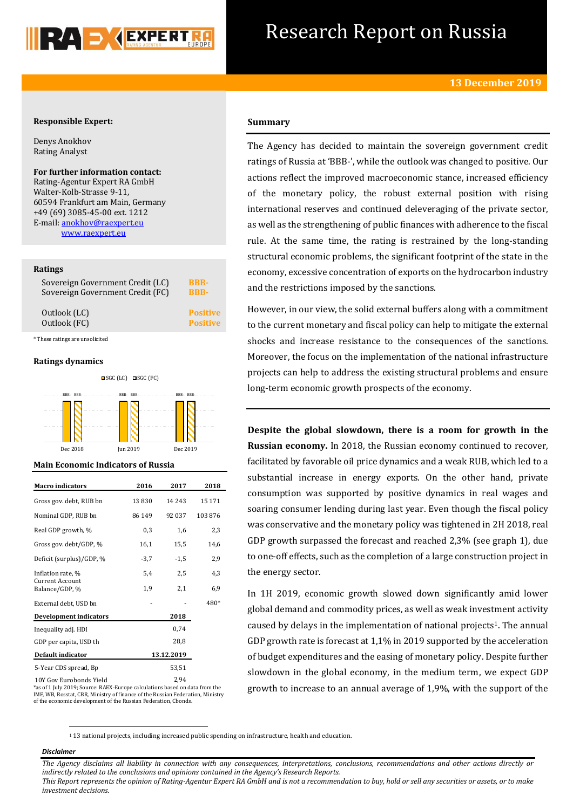

# Research Report on Russia

# **Responsible Expert:**

Denys Anokhov Rating Analyst

**For further information contact:** Rating-Agentur Expert RA GmbH Walter-Kolb-Strasse 9-11, 60594 Frankfurt am Main, Germany +49 (69) 3085-45-00 ext. 1212 E-mail: [anokhov@raexpert.eu](mailto:anokhov@raexpert.eu) [www.raexpert.eu](http://raexpert.eu/)

## **Ratings**

| Sovereign Government Credit (LC) | <b>BBB-</b>     |
|----------------------------------|-----------------|
| Sovereign Government Credit (FC) | <b>BBB-</b>     |
| Outlook (LC)                     | <b>Positive</b> |
| Outlook (FC)                     | <b>Positive</b> |

\* These ratings are unsolicited

## **Ratings dynamics**



#### **Main Economic Indicators of Russia**

| <b>Macro</b> indicators                  | 2016   | 2017       | 2018   |
|------------------------------------------|--------|------------|--------|
| Gross gov. debt, RUB bn                  | 13830  | 14 2 4 3   | 15 171 |
| Nominal GDP, RUB bn                      | 86 149 | 92 037     | 103876 |
| Real GDP growth, %                       | 0,3    | 1,6        | 2,3    |
| Gross gov. debt/GDP, %                   | 16,1   | 15,5       | 14,6   |
| Deficit (surplus)/GDP, %                 | $-3,7$ | $-1,5$     | 2,9    |
| Inflation rate, %                        | 5,4    | 2,5        | 4,3    |
| <b>Current Account</b><br>Balance/GDP, % | 1,9    | 2,1        | 6,9    |
| External debt, USD bn                    |        |            | 480*   |
| <b>Development indicators</b>            |        | 2018       |        |
| Inequality adj. HDI                      |        | 0,74       |        |
| GDP per capita, USD th                   |        | 28,8       |        |
| Default indicator                        |        | 13.12.2019 |        |
| 5-Year CDS spread, Bp                    |        | 53,51      |        |
| 10Y Gov Eurobonds Yield                  |        | 2.94       |        |

\*as of 1 July 2019; Source: RAEX-Europe calculations based on data from the IMF, WB, Rosstat, CBR, Ministry of finance of the Russian Federation, Ministry of the economic development of the Russian Federation, Cbonds.

# **Summary**

The Agency has decided to maintain the sovereign government credit ratings of Russia at 'BBB-', while the outlook was changed to positive. Our actions reflect the improved macroeconomic stance, increased efficiency of the monetary policy, the robust external position with rising international reserves and continued deleveraging of the private sector, as well as the strengthening of public finances with adherence to the fiscal rule. At the same time, the rating is restrained by the long-standing structural economic problems, the significant footprint of the state in the economy, excessive concentration of exports on the hydrocarbon industry and the restrictions imposed by the sanctions.

However, in our view, the solid external buffers along with a commitment to the current monetary and fiscal policy can help to mitigate the external shocks and increase resistance to the consequences of the sanctions. Moreover, the focus on the implementation of the national infrastructure projects can help to address the existing structural problems and ensure long-term economic growth prospects of the economy.

**Despite the global slowdown, there is a room for growth in the Russian economy.** In 2018, the Russian economy continued to recover, facilitated by favorable oil price dynamics and a weak RUB, which led to a substantial increase in energy exports. On the other hand, private consumption was supported by positive dynamics in real wages and soaring consumer lending during last year. Even though the fiscal policy was conservative and the monetary policy was tightened in 2H 2018, real GDP growth surpassed the forecast and reached 2,3% (see graph 1), due to one-off effects, such as the completion of a large construction project in the energy sector.

In 1H 2019, economic growth slowed down significantly amid lower global demand and commodity prices, as well as weak investment activity caused by delays in the implementation of national projects<sup>1</sup>. The annual GDP growth rate is forecast at 1,1% in 2019 supported by the acceleration of budget expenditures and the easing of monetary policy. Despite further slowdown in the global economy, in the medium term, we expect GDP growth to increase to an annual average of 1,9%, with the support of the

<sup>1</sup> 13 national projects, including increased public spending on infrastructure, health and education.

## *Disclaimer*

**.** 

*The Agency disclaims all liability in connection with any consequences, interpretations, conclusions, recommendations and other actions directly or indirectly related to the conclusions and opinions contained in the Agency's Research Reports.*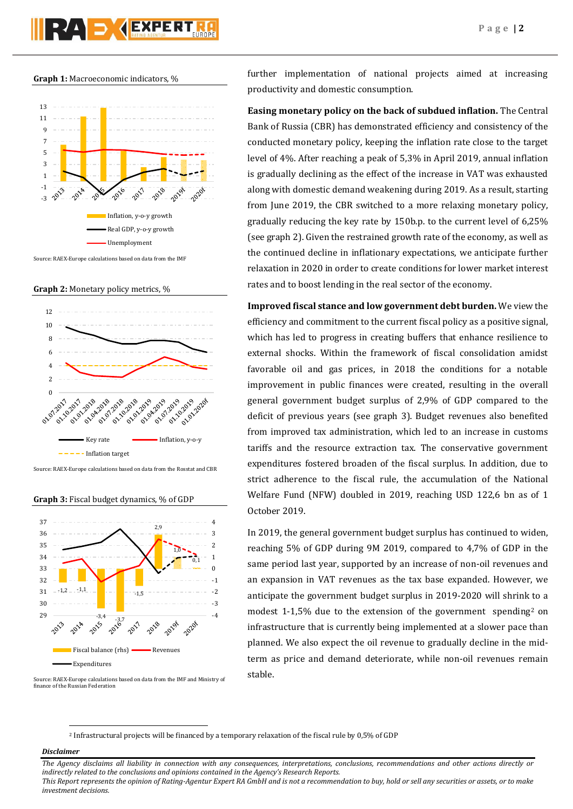#### **Graph 1:** Macroeconomic indicators, %



Source: RAEX-Europe calculations based on data from the IMF

**Graph 2:** Monetary policy metrics, %



Source: RAEX-Europe calculations based on data from the Rosstat and CBR

**Graph 3:** Fiscal budget dynamics, % of GDP



Source: RAEX-Europe calculations based on data from the IMF and Ministry of finance of the Russian Federation

further implementation of national projects aimed at increasing productivity and domestic consumption.

**Easing monetary policy on the back of subdued inflation.** The Central Bank of Russia (CBR) has demonstrated efficiency and consistency of the conducted monetary policy, keeping the inflation rate close to the target level of 4%. After reaching a peak of 5,3% in April 2019, annual inflation is gradually declining as the effect of the increase in VAT was exhausted along with domestic demand weakening during 2019. As a result, starting from June 2019, the CBR switched to a more relaxing monetary policy, gradually reducing the key rate by 150b.p. to the current level of 6,25% (see graph 2). Given the restrained growth rate of the economy, as well as the continued decline in inflationary expectations, we anticipate further relaxation in 2020 in order to create conditions for lower market interest rates and to boost lending in the real sector of the economy.

**Improved fiscal stance and low government debt burden.** We view the efficiency and commitment to the current fiscal policy as a positive signal, which has led to progress in creating buffers that enhance resilience to external shocks. Within the framework of fiscal consolidation amidst favorable oil and gas prices, in 2018 the conditions for a notable improvement in public finances were created, resulting in the overall general government budget surplus of 2,9% of GDP compared to the deficit of previous years (see graph 3). Budget revenues also benefited from improved tax administration, which led to an increase in customs tariffs and the resource extraction tax. The conservative government expenditures fostered broaden of the fiscal surplus. In addition, due to strict adherence to the fiscal rule, the accumulation of the National Welfare Fund (NFW) doubled in 2019, reaching USD 122,6 bn as of 1 October 2019.

In 2019, the general government budget surplus has continued to widen, reaching 5% of GDP during 9M 2019, compared to 4,7% of GDP in the same period last year, supported by an increase of non-oil revenues and an expansion in VAT revenues as the tax base expanded. However, we anticipate the government budget surplus in 2019-2020 will shrink to a modest 1-1,5% due to the extension of the government spending<sup>2</sup> on infrastructure that is currently being implemented at a slower pace than planned. We also expect the oil revenue to gradually decline in the midterm as price and demand deteriorate, while non-oil revenues remain stable.

<sup>2</sup> Infrastructural projects will be financed by a temporary relaxation of the fiscal rule by 0,5% of GDP

## *Disclaimer*

1

*investment decisions.*

*The Agency disclaims all liability in connection with any consequences, interpretations, conclusions, recommendations and other actions directly or indirectly related to the conclusions and opinions contained in the Agency's Research Reports. This Report represents the opinion of Rating-Agentur Expert RA GmbH and is not a recommendation to buy, hold or sell any securities or assets, or to make*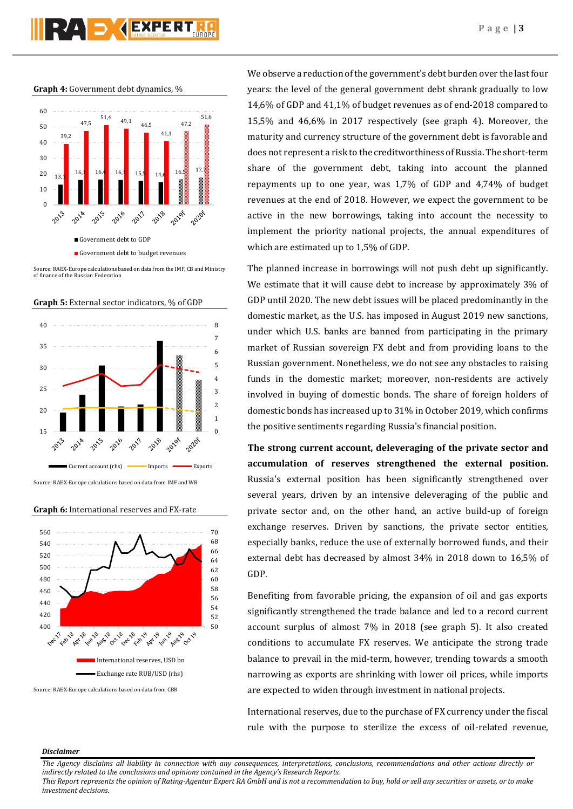**Graph 4:** Government debt dynamics, %



Source: RAEX-Europe calculations based on data from the IMF, CB and Ministry of finance of the Russian Federation

**Graph 5:** External sector indicators, % of GDP



Source: RAEX-Europe calculations based on data from IMF and WB

**Graph 6:** International reserves and FX-rate



Source: RAEX-Europe calculations based on data from CBR

We observe a reduction of the government's debt burden over the last four years: the level of the general government debt shrank gradually to low 14,6% of GDP and 41,1% of budget revenues as of end-2018 compared to 15,5% and 46,6% in 2017 respectively (see graph 4). Moreover, the maturity and currency structure of the government debt is favorable and does not represent a risk to the creditworthiness of Russia. The short-term share of the government debt, taking into account the planned repayments up to one year, was 1,7% of GDP and 4,74% of budget revenues at the end of 2018. However, we expect the government to be active in the new borrowings, taking into account the necessity to implement the priority national projects, the annual expenditures of which are estimated up to 1,5% of GDP.

The planned increase in borrowings will not push debt up significantly. We estimate that it will cause debt to increase by approximately 3% of GDP until 2020. The new debt issues will be placed predominantly in the domestic market, as the U.S. has imposed in August 2019 new sanctions, under which U.S. banks are banned from participating in the primary market of Russian sovereign FX debt and from providing loans to the Russian government. Nonetheless, we do not see any obstacles to raising funds in the domestic market; moreover, non-residents are actively involved in buying of domestic bonds. The share of foreign holders of domestic bonds has increased up to 31% in October 2019, which confirms the positive sentiments regarding Russia's financial position.

**The strong current account, deleveraging of the private sector and accumulation of reserves strengthened the external position.** Russia's external position has been significantly strengthened over several years, driven by an intensive deleveraging of the public and private sector and, on the other hand, an active build-up of foreign exchange reserves. Driven by sanctions, the private sector entities, especially banks, reduce the use of externally borrowed funds, and their external debt has decreased by almost 34% in 2018 down to 16,5% of GDP.

Benefiting from favorable pricing, the expansion of oil and gas exports significantly strengthened the trade balance and led to a record current account surplus of almost 7% in 2018 (see graph 5). It also created conditions to accumulate FX reserves. We anticipate the strong trade balance to prevail in the mid-term, however, trending towards a smooth narrowing as exports are shrinking with lower oil prices, while imports are expected to widen through investment in national projects.

International reserves, due to the purchase of FX currency under the fiscal rule with the purpose to sterilize the excess of oil-related revenue,

#### *Disclaimer*

*The Agency disclaims all liability in connection with any consequences, interpretations, conclusions, recommendations and other actions directly or indirectly related to the conclusions and opinions contained in the Agency's Research Reports.*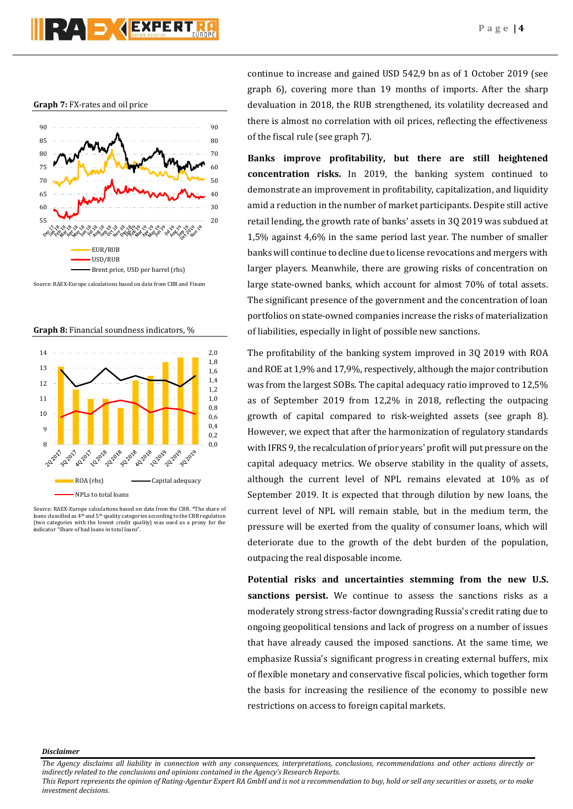#### **Graph 7:** FX-rates and oil price



Source: RAEX-Europe calculations based on data from CBR and Finam

**Graph 8:** Financial soundness indicators, %



Source: RAEX-Europe calculations based on data from the CBR. \*The share of loans classified as  $4<sup>th</sup>$  and  $5<sup>th</sup>$  quality categories according to the CBR regulation (two categories with the lowest credit quality) was used as a proxy for the indicator "Share of bad loans in total loans".

continue to increase and gained USD 542,9 bn as of 1 October 2019 (see graph 6), covering more than 19 months of imports. After the sharp devaluation in 2018, the RUB strengthened, its volatility decreased and there is almost no correlation with oil prices, reflecting the effectiveness of the fiscal rule (see graph 7).

**Banks improve profitability, but there are still heightened concentration risks.** In 2019, the banking system continued to demonstrate an improvement in profitability, capitalization, and liquidity amid a reduction in the number of market participants. Despite still active retail lending, the growth rate of banks' assets in 3Q 2019 was subdued at 1,5% against 4,6% in the same period last year. The number of smaller banks will continue to decline due to license revocations and mergers with larger players. Meanwhile, there are growing risks of concentration on large state-owned banks, which account for almost 70% of total assets. The significant presence of the government and the concentration of loan portfolios on state-owned companies increase the risks of materialization of liabilities, especially in light of possible new sanctions.

The profitability of the banking system improved in 3Q 2019 with ROA and ROE at 1,9% and 17,9%, respectively, although the major contribution was from the largest SOBs. The capital adequacy ratio improved to 12,5% as of September 2019 from 12,2% in 2018, reflecting the outpacing growth of capital compared to risk-weighted assets (see graph 8). However, we expect that after the harmonization of regulatory standards with IFRS 9, the recalculation of prior years' profit will put pressure on the capital adequacy metrics. We observe stability in the quality of assets, although the current level of NPL remains elevated at 10% as of September 2019. It is expected that through dilution by new loans, the current level of NPL will remain stable, but in the medium term, the pressure will be exerted from the quality of consumer loans, which will deteriorate due to the growth of the debt burden of the population, outpacing the real disposable income.

**Potential risks and uncertainties stemming from the new U.S. sanctions persist.** We continue to assess the sanctions risks as a moderately strong stress-factor downgrading Russia's credit rating due to ongoing geopolitical tensions and lack of progress on a number of issues that have already caused the imposed sanctions. At the same time, we emphasize Russia's significant progress in creating external buffers, mix of flexible monetary and conservative fiscal policies, which together form the basis for increasing the resilience of the economy to possible new restrictions on access to foreign capital markets.

*Disclaimer* 

*The Agency disclaims all liability in connection with any consequences, interpretations, conclusions, recommendations and other actions directly or indirectly related to the conclusions and opinions contained in the Agency's Research Reports.*